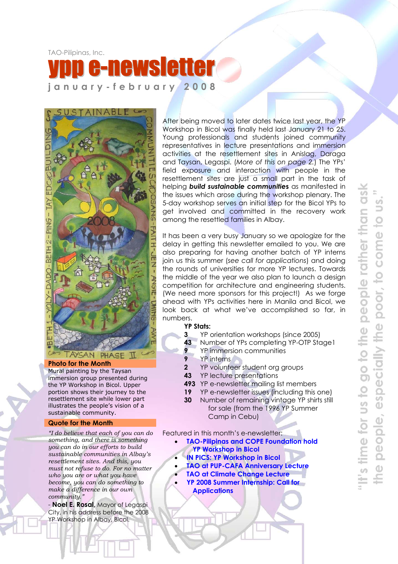TAO-Pilipinas, Inc.

# ysletter **january-february 2008**



#### **Photo for the Month**

Mural painting by the Taysan immersion group presented during the YP Workshop in Bicol. Upper portion shows their journey to the resettlement site while lower part illustrates the people's vision of a sustainable community.

#### **Quote for the Month**

*"I do believe that each of you can do something, and there is something you can do in our efforts to build sustainable communities in Albay's resettlement sites. And this, you must not refuse to do. For no matter who you are or what you have become, you can do something to make a difference in our own community."* 

- **Noel E. Rosal,** Mayor of Legaspi City, in his address before the 2008 YP Workshop in Albay, Bicol.

After being moved to later dates twice last year, the YP Workshop in Bicol was finally held last January 21 to 25. Young professionals and students joined community representatives in lecture presentations and immersion activities at the resettlement sites in Anislag, Daraga and Taysan, Legaspi. (*More of this on page 2.*) The YPs' field exposure and interaction with people in the resettlement sites are just a small part in the task of helping *build sustainable communitie***s** as manifested in the issues which arose during the workshop plenary. The 5-day workshop serves an initial step for the Bicol YPs to get involved and committed in the recovery work among the resettled families in Albay.

It has been a very busy January so we apologize for the delay in getting this newsletter emailed to you. We are also preparing for having another batch of YP interns join us this summer (*see call for applications*) and doing the rounds of universities for more YP lectures. Towards the middle of the year we also plan to launch a design competition for architecture and engineering students. (We need more sponsors for this project!) As we forge ahead with YPs activities here in Manila and Bicol, we look back at what we've accomplished so far, in numbers.

#### **YP Stats:**

- **3** YP orientation workshops (since 2005)
- **43** Number of YPs completing YP-OTP Stage1
- **9** YP immersion communities
- **9** YP interns
- **2** YP volunteer student org groups
- **43** YP lecture presentations
- **493** YP e-newsletter mailing list members
- **19** YP e-newsletter issues (including this one)
- **30** Number of remaining vintage YP shirts still for sale (from the 1996 YP Summer Camp in Cebu)

Featured in this month's e-newsletter:

- **TAO-Pilipinas and COPE Foundation hold YP Workshop in Bicol** 
	- **IN PICS: YP Workshop in Bicol**
- **TAO at PUP-CAFA Anniversary Lecture**
- **TAO at Climate Change Lecture**
- **YP 2008 Summer Internship: Call for Applications**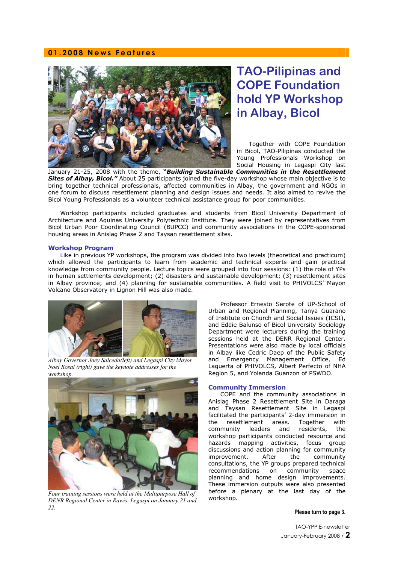#### **01.2008 News Features**



## **TAO-Pilipinas and COPE Foundation hold YP Workshop in Albay, Bicol**

Together with COPE Foundation in Bicol, TAO-Pilipinas conducted the Young Professionals Workshop on Social Housing in Legaspi City last

January 21-25, 2008 with the theme, **"***Building Sustainable Communities in the Resettlement*  **Sites of Albay, Bicol."** About 25 participants joined the five-day workshop whose main objective is to bring together technical professionals, affected communities in Albay, the government and NGOs in one forum to discuss resettlement planning and design issues and needs. It also aimed to revive the Bicol Young Professionals as a volunteer technical assistance group for poor communities.

Workshop participants included graduates and students from Bicol University Department of Architecture and Aquinas University Polytechnic Institute. They were joined by representatives from Bicol Urban Poor Coordinating Council (BUPCC) and community associations in the COPE-sponsored housing areas in Anislag Phase 2 and Taysan resettlement sites.

#### **Workshop Program**

Like in previous YP workshops, the program was divided into two levels (theoretical and practicum) which allowed the participants to learn from academic and technical experts and gain practical knowledge from community people. Lecture topics were grouped into four sessions: (1) the role of YPs in human settlements development; (2) disasters and sustainable development; (3) resettlement sites in Albay province; and (4) planning for sustainable communities. A field visit to PHIVOLCS' Mayon Volcano Observatory in Lignon Hill was also made.



*Albay Governor Joey Salceda(left) and Legaspi City Mayor Noel Rosal (right) gave the keynote addresses for the workshop.*



*Four training sessions were held at the Multipurpose Hall of DENR Regional Center in Rawis, Legaspi on January 21 and 22.* 

Professor Ernesto Serote of UP-School of Urban and Regional Planning, Tanya Guarano of Institute on Church and Social Issues (ICSI), and Eddie Balunso of Bicol University Sociology Department were lecturers during the training sessions held at the DENR Regional Center. Presentations were also made by local officials in Albay like Cedric Daep of the Public Safety and Emergency Management Office, Ed Laguerta of PHIVOLCS, Albert Perfecto of NHA Region 5, and Yolanda Guanzon of PSWDO.

#### **Community Immersion**

COPE and the community associations in Anislag Phase 2 Resettlement Site in Daraga and Taysan Resettlement Site in Legaspi facilitated the participants' 2-day immersion in the resettlement areas. Together with community leaders and residents, the workshop participants conducted resource and hazards mapping activities, focus group discussions and action planning for community improvement. After the community consultations, the YP groups prepared technical recommendations on community space planning and home design improvements. These immersion outputs were also presented before a plenary at the last day of the workshop.

#### **Please turn to page 3.**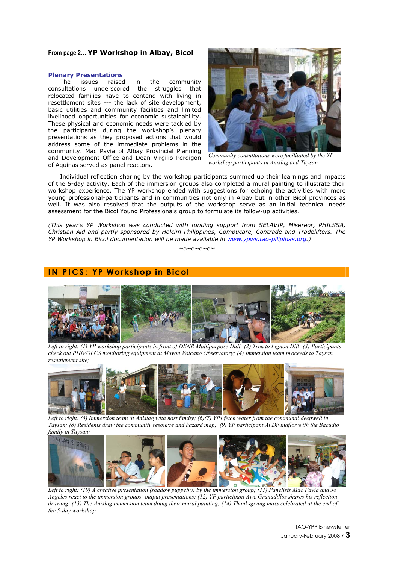#### **From page 2… YP Workshop in Albay, Bicol**

#### **Plenary Presentations**

The issues raised in the community consultations underscored the struggles that relocated families have to contend with living in resettlement sites --- the lack of site development, basic utilities and community facilities and limited livelihood opportunities for economic sustainability. These physical and economic needs were tackled by the participants during the workshop's plenary presentations as they proposed actions that would address some of the immediate problems in the community. Mac Pavia of Albay Provincial Planning and Development Office and Dean Virgilio Perdigon of Aquinas served as panel reactors.



*Community consultations were facilitated by the YP workshop participants in Anislag and Taysan.*

Individual reflection sharing by the workshop participants summed up their learnings and impacts of the 5-day activity. Each of the immersion groups also completed a mural painting to illustrate their workshop experience. The YP workshop ended with suggestions for echoing the activities with more young professional-participants and in communities not only in Albay but in other Bicol provinces as well. It was also resolved that the outputs of the workshop serve as an initial technical needs assessment for the Bicol Young Professionals group to formulate its follow-up activities.

*(This year's YP Workshop was conducted with funding support from SELAVIP, Misereor, PHILSSA, Christian Aid and partly sponsored by Holcim Philippines, Compucare, Contrade and Tradelifters. The YP Workshop in Bicol documentation will be made available in www.ypws.tao-pilipinas.org.)* 

∼o∼o∼o∼o∼

#### **IN PICS: YP Workshop in Bicol**



*Left to right: (1) YP workshop participants in front of DENR Multipurpose Hall; (2) Trek to Lignon Hill; (3) Participants check out PHIVOLCS monitoring equipment at Mayon Volcano Observatory; (4) Immersion team proceeds to Taysan resettlement site;* 



*Left to right: (5) Immersion team at Anislag with host family; (6)(7) YPs fetch water from the communal deepwell in Taysan; (8) Residents draw the community resource and hazard map; (9) YP participant Ai Divinaflor with the Bacudio* 



*Left to right: (10) A creative presentation (shadow puppetry) by the immersion group; (11) Panelists Mac Pavia and Jo Angeles react to the immersion groups' output presentations; (12) YP participant Awe Granadillos shares his reflection drawing; (13) The Anislag immersion team doing their mural painting; (14) Thanksgiving mass celebrated at the end of the 5-day workshop.*